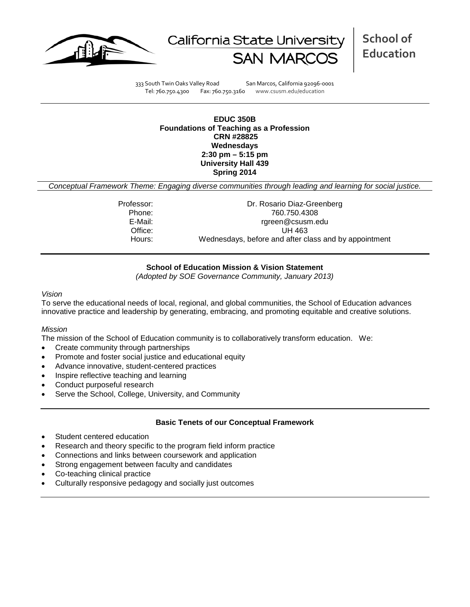



**School of Education**

333 South Twin Oaks Valley Road San Marcos, California 92096-0001 Tel: 760.750.4300 Fax: 760.750.3160 www.csusm.edu/education

**EDUC 350B Foundations of Teaching as a Profession CRN #28825 Wednesdays 2:30 pm – 5:15 pm University Hall 439 Spring 2014** 

*Conceptual Framework Theme: Engaging diverse communities through leading and learning for social justice.*

Professor: Dr. Rosario Diaz-Greenberg Phone: 760.750.4308<br>E-Mail: 760.750.4308 F-Mail: rgreen@csusm.edu Office: UH 463 Hours: Wednesdays, before and after class and by appointment

## **School of Education Mission & Vision Statement**

*(Adopted by SOE Governance Community, January 2013)*

#### *Vision*

To serve the educational needs of local, regional, and global communities, the School of Education advances innovative practice and leadership by generating, embracing, and promoting equitable and creative solutions.

### *Mission*

The mission of the School of Education community is to collaboratively transform education. We:

- Create community through partnerships
- Promote and foster social justice and educational equity
- Advance innovative, student-centered practices
- Inspire reflective teaching and learning
- Conduct purposeful research
- Serve the School, College, University, and Community

### **Basic Tenets of our Conceptual Framework**

- Student centered education
- Research and theory specific to the program field inform practice
- Connections and links between coursework and application
- Strong engagement between faculty and candidates
- Co-teaching clinical practice
- Culturally responsive pedagogy and socially just outcomes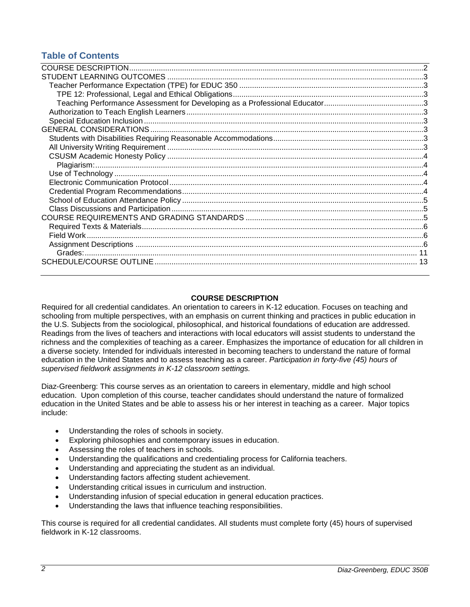# **Table of Contents**

## **COURSE DESCRIPTION**

<span id="page-1-0"></span>Required for all credential candidates. An orientation to careers in K-12 education. Focuses on teaching and schooling from multiple perspectives, with an emphasis on current thinking and practices in public education in the U.S. Subjects from the sociological, philosophical, and historical foundations of education are addressed. Readings from the lives of teachers and interactions with local educators will assist students to understand the richness and the complexities of teaching as a career. Emphasizes the importance of education for all children in a diverse society. Intended for individuals interested in becoming teachers to understand the nature of formal education in the United States and to assess teaching as a career. *Participation in forty-five (45) hours of supervised fieldwork assignments in K-12 classroom settings.*

Diaz-Greenberg: This course serves as an orientation to careers in elementary, middle and high school education. Upon completion of this course, teacher candidates should understand the nature of formalized education in the United States and be able to assess his or her interest in teaching as a career. Major topics include:

- Understanding the roles of schools in society.
- Exploring philosophies and contemporary issues in education.
- Assessing the roles of teachers in schools.
- Understanding the qualifications and credentialing process for California teachers.
- Understanding and appreciating the student as an individual.
- Understanding factors affecting student achievement.
- Understanding critical issues in curriculum and instruction.
- Understanding infusion of special education in general education practices.
- Understanding the laws that influence teaching responsibilities.

<span id="page-1-1"></span>This course is required for all credential candidates. All students must complete forty (45) hours of supervised fieldwork in K-12 classrooms.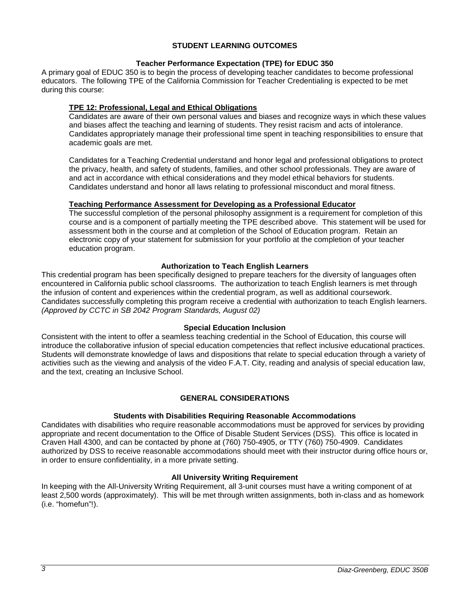## **STUDENT LEARNING OUTCOMES**

## **Teacher Performance Expectation (TPE) for EDUC 350**

<span id="page-2-0"></span>A primary goal of EDUC 350 is to begin the process of developing teacher candidates to become professional educators. The following TPE of the California Commission for Teacher Credentialing is expected to be met during this course:

## <span id="page-2-1"></span>**TPE 12: Professional, Legal and Ethical Obligations**

Candidates are aware of their own personal values and biases and recognize ways in which these values and biases affect the teaching and learning of students. They resist racism and acts of intolerance. Candidates appropriately manage their professional time spent in teaching responsibilities to ensure that academic goals are met.

Candidates for a Teaching Credential understand and honor legal and professional obligations to protect the privacy, health, and safety of students, families, and other school professionals. They are aware of and act in accordance with ethical considerations and they model ethical behaviors for students. Candidates understand and honor all laws relating to professional misconduct and moral fitness.

## <span id="page-2-2"></span>**Teaching Performance Assessment for Developing as a Professional Educator**

The successful completion of the personal philosophy assignment is a requirement for completion of this course and is a component of partially meeting the TPE described above. This statement will be used for assessment both in the course and at completion of the School of Education program. Retain an electronic copy of your statement for submission for your portfolio at the completion of your teacher education program.

## **Authorization to Teach English Learners**

<span id="page-2-3"></span>This credential program has been specifically designed to prepare teachers for the diversity of languages often encountered in California public school classrooms. The authorization to teach English learners is met through the infusion of content and experiences within the credential program, as well as additional coursework. Candidates successfully completing this program receive a credential with authorization to teach English learners. *(Approved by CCTC in SB 2042 Program Standards, August 02)*

### **Special Education Inclusion**

<span id="page-2-4"></span>Consistent with the intent to offer a seamless teaching credential in the School of Education, this course will introduce the collaborative infusion of special education competencies that reflect inclusive educational practices. Students will demonstrate knowledge of laws and dispositions that relate to special education through a variety of activities such as the viewing and analysis of the video F.A.T. City, reading and analysis of special education law, and the text, creating an Inclusive School.

## **GENERAL CONSIDERATIONS**

### **Students with Disabilities Requiring Reasonable Accommodations**

<span id="page-2-6"></span><span id="page-2-5"></span>Candidates with disabilities who require reasonable accommodations must be approved for services by providing appropriate and recent documentation to the Office of Disable Student Services (DSS). This office is located in Craven Hall 4300, and can be contacted by phone at (760) 750-4905, or TTY (760) 750-4909. Candidates authorized by DSS to receive reasonable accommodations should meet with their instructor during office hours or, in order to ensure confidentiality, in a more private setting.

### **All University Writing Requirement**

<span id="page-2-8"></span><span id="page-2-7"></span>In keeping with the All-University Writing Requirement, all 3-unit courses must have a writing component of at least 2,500 words (approximately). This will be met through written assignments, both in-class and as homework (i.e. "homefun"!).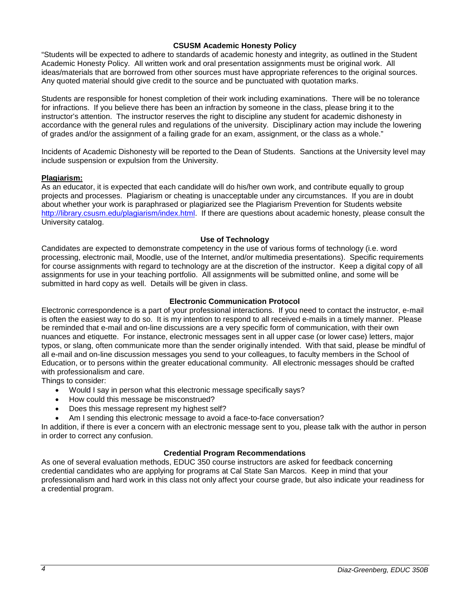## **CSUSM Academic Honesty Policy**

"Students will be expected to adhere to standards of academic honesty and integrity, as outlined in the Student Academic Honesty Policy. All written work and oral presentation assignments must be original work. All ideas/materials that are borrowed from other sources must have appropriate references to the original sources. Any quoted material should give credit to the source and be punctuated with quotation marks.

Students are responsible for honest completion of their work including examinations. There will be no tolerance for infractions. If you believe there has been an infraction by someone in the class, please bring it to the instructor's attention. The instructor reserves the right to discipline any student for academic dishonesty in accordance with the general rules and regulations of the university. Disciplinary action may include the lowering of grades and/or the assignment of a failing grade for an exam, assignment, or the class as a whole."

Incidents of Academic Dishonesty will be reported to the Dean of Students. Sanctions at the University level may include suspension or expulsion from the University.

## <span id="page-3-0"></span>**Plagiarism:**

As an educator, it is expected that each candidate will do his/her own work, and contribute equally to group projects and processes. Plagiarism or cheating is unacceptable under any circumstances. If you are in doubt about whether your work is paraphrased or plagiarized see the Plagiarism Prevention for Students website [http://library.csusm.edu/plagiarism/index.html.](http://library.csusm.edu/plagiarism/index.html) If there are questions about academic honesty, please consult the University catalog.

### **Use of Technology**

<span id="page-3-1"></span>Candidates are expected to demonstrate competency in the use of various forms of technology (i.e. word processing, electronic mail, Moodle, use of the Internet, and/or multimedia presentations). Specific requirements for course assignments with regard to technology are at the discretion of the instructor. Keep a digital copy of all assignments for use in your teaching portfolio. All assignments will be submitted online, and some will be submitted in hard copy as well. Details will be given in class.

## **Electronic Communication Protocol**

<span id="page-3-2"></span>Electronic correspondence is a part of your professional interactions. If you need to contact the instructor, e-mail is often the easiest way to do so. It is my intention to respond to all received e-mails in a timely manner. Please be reminded that e-mail and on-line discussions are a very specific form of communication, with their own nuances and etiquette. For instance, electronic messages sent in all upper case (or lower case) letters, major typos, or slang, often communicate more than the sender originally intended. With that said, please be mindful of all e-mail and on-line discussion messages you send to your colleagues, to faculty members in the School of Education, or to persons within the greater educational community. All electronic messages should be crafted with professionalism and care.

Things to consider:

- Would I say in person what this electronic message specifically says?
- How could this message be misconstrued?
- Does this message represent my highest self?
- Am I sending this electronic message to avoid a face-to-face conversation?

In addition, if there is ever a concern with an electronic message sent to you, please talk with the author in person in order to correct any confusion.

### **Credential Program Recommendations**

<span id="page-3-4"></span><span id="page-3-3"></span>As one of several evaluation methods, EDUC 350 course instructors are asked for feedback concerning credential candidates who are applying for programs at Cal State San Marcos. Keep in mind that your professionalism and hard work in this class not only affect your course grade, but also indicate your readiness for a credential program.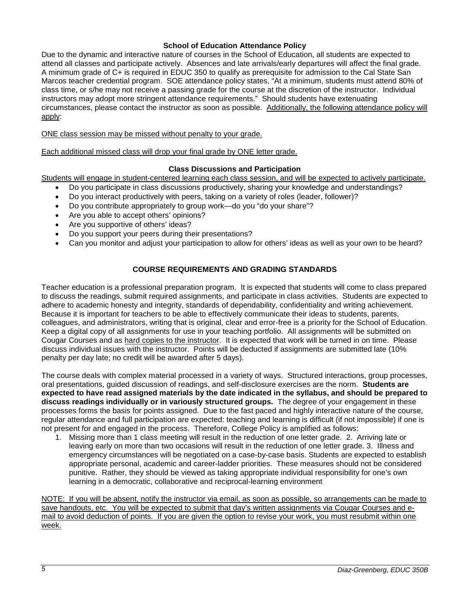## **School of Education Attendance Policy**

Due to the dynamic and interactive nature of courses in the School of Education, all students are expected to attend all classes and participate actively. Absences and late arrivals/early departures will affect the final grade. A minimum grade of C+ is required in EDUC 350 to qualify as prerequisite for admission to the Cal State San Marcos teacher credential program. SOE attendance policy states, "At a minimum, students must attend 80% of class time, or s/he may not receive a passing grade for the course at the discretion of the instructor. Individual instructors may adopt more stringent attendance requirements." Should students have extenuating circumstances, please contact the instructor as soon as possible. Additionally, the following attendance policy will apply:

ONE class session may be missed without penalty to your grade.

Each additional missed class will drop your final grade by ONE letter grade.

## **Class Discussions and Participation**

<span id="page-4-0"></span>Students will engage in student-centered learning each class session, and will be expected to actively participate.

- Do you participate in class discussions productively, sharing your knowledge and understandings?
- Do you interact productively with peers, taking on a variety of roles (leader, follower)?
- Do you contribute appropriately to group work—do you "do your share"?
- Are you able to accept others' opinions?
- Are you supportive of others' ideas?
- Do you support your peers during their presentations?
- Can you monitor and adjust your participation to allow for others' ideas as well as your own to be heard?

## **COURSE REQUIREMENTS AND GRADING STANDARDS**

<span id="page-4-1"></span>Teacher education is a professional preparation program. It is expected that students will come to class prepared to discuss the readings, submit required assignments, and participate in class activities. Students are expected to adhere to academic honesty and integrity, standards of dependability, confidentiality and writing achievement. Because it is important for teachers to be able to effectively communicate their ideas to students, parents, colleagues, and administrators, writing that is original, clear and error-free is a priority for the School of Education. Keep a digital copy of all assignments for use in your teaching portfolio. All assignments will be submitted on Cougar Courses and as hard copies to the instructor. It is expected that work will be turned in on time. Please discuss individual issues with the instructor. Points will be deducted if assignments are submitted late (10% penalty per day late; no credit will be awarded after 5 days).

The course deals with complex material processed in a variety of ways. Structured interactions, group processes, oral presentations, guided discussion of readings, and self-disclosure exercises are the norm. **Students are expected to have read assigned materials by the date indicated in the syllabus, and should be prepared to discuss readings individually or in variously structured groups.** The degree of your engagement in these processes forms the basis for points assigned. Due to the fast paced and highly interactive nature of the course, regular attendance and full participation are expected: teaching and learning is difficult (if not impossible) if one is not present for and engaged in the process. Therefore, College Policy is amplified as follows:

1. Missing more than 1 class meeting will result in the reduction of one letter grade. 2. Arriving late or leaving early on more than two occasions will result in the reduction of one letter grade. 3. Illness and emergency circumstances will be negotiated on a case-by-case basis. Students are expected to establish appropriate personal, academic and career-ladder priorities. These measures should not be considered punitive. Rather, they should be viewed as taking appropriate individual responsibility for one's own learning in a democratic, collaborative and reciprocal-learning environment

<span id="page-4-2"></span>NOTE: If you will be absent, notify the instructor via email, as soon as possible, so arrangements can be made to save handouts, etc. You will be expected to submit that day's written assignments via Cougar Courses and email to avoid deduction of points. If you are given the option to revise your work, you must resubmit within one week.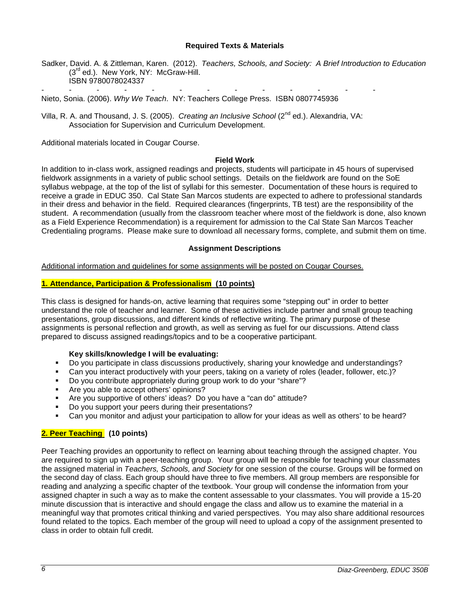### **Required Texts & Materials**

Sadker, David. A. & Zittleman, Karen. (2012). *Teachers, Schools, and Society: A Brief Introduction to Education* (3<sup>rd</sup> ed.). New York, NY: McGraw-Hill. ISBN 9780078024337

- - - - - - - - - - - - - Nieto, Sonia. (2006). *Why We Teach*. NY: Teachers College Press. ISBN 0807745936

Villa, R. A. and Thousand, J. S. (2005). *Creating an Inclusive School* (2<sup>nd</sup> ed.). Alexandria, VA: Association for Supervision and Curriculum Development.

Additional materials located in Cougar Course.

#### **Field Work**

<span id="page-5-0"></span>In addition to in-class work, assigned readings and projects, students will participate in 45 hours of supervised fieldwork assignments in a variety of public school settings. Details on the fieldwork are found on the SoE syllabus webpage, at the top of the list of syllabi for this semester. Documentation of these hours is required to receive a grade in EDUC 350. Cal State San Marcos students are expected to adhere to professional standards in their dress and behavior in the field. Required clearances (fingerprints, TB test) are the responsibility of the student. A recommendation (usually from the classroom teacher where most of the fieldwork is done, also known as a Field Experience Recommendation) is a requirement for admission to the Cal State San Marcos Teacher Credentialing programs. Please make sure to download all necessary forms, complete, and submit them on time.

#### **Assignment Descriptions**

<span id="page-5-1"></span>Additional information and guidelines for some assignments will be posted on Cougar Courses.

#### **1. Attendance, Participation & Professionalism (10 points)**

This class is designed for hands-on, active learning that requires some "stepping out" in order to better understand the role of teacher and learner. Some of these activities include partner and small group teaching presentations, group discussions, and different kinds of reflective writing. The primary purpose of these assignments is personal reflection and growth, as well as serving as fuel for our discussions. Attend class prepared to discuss assigned readings/topics and to be a cooperative participant.

### **Key skills/knowledge I will be evaluating:**

- Do you participate in class discussions productively, sharing your knowledge and understandings?
- Can you interact productively with your peers, taking on a variety of roles (leader, follower, etc.)?
- Do you contribute appropriately during group work to do your "share"?
- Are you able to accept others' opinions?
- Are you supportive of others' ideas? Do you have a "can do" attitude?
- Do you support your peers during their presentations?
- Can you monitor and adjust your participation to allow for your ideas as well as others' to be heard?

### **2. Peer Teaching (10 points)**

Peer Teaching provides an opportunity to reflect on learning about teaching through the assigned chapter. You are required to sign up with a peer-teaching group. Your group will be responsible for teaching your classmates the assigned material in *Teachers, Schools, and Society* for one session of the course. Groups will be formed on the second day of class. Each group should have three to five members. All group members are responsible for reading and analyzing a specific chapter of the textbook. Your group will condense the information from your assigned chapter in such a way as to make the content assessable to your classmates. You will provide a 15-20 minute discussion that is interactive and should engage the class and allow us to examine the material in a meaningful way that promotes critical thinking and varied perspectives. You may also share additional resources found related to the topics. Each member of the group will need to upload a copy of the assignment presented to class in order to obtain full credit.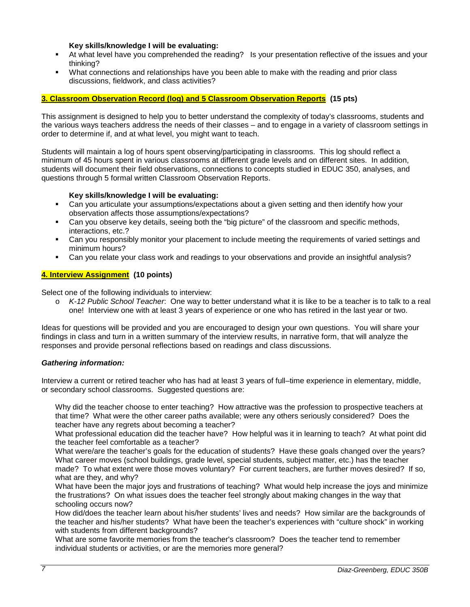### **Key skills/knowledge I will be evaluating:**

- At what level have you comprehended the reading? Is your presentation reflective of the issues and your thinking?
- What connections and relationships have you been able to make with the reading and prior class discussions, fieldwork, and class activities?

## **3. Classroom Observation Record (log) and 5 Classroom Observation Reports (15 pts)**

This assignment is designed to help you to better understand the complexity of today's classrooms, students and the various ways teachers address the needs of their classes – and to engage in a variety of classroom settings in order to determine if, and at what level, you might want to teach.

Students will maintain a log of hours spent observing/participating in classrooms. This log should reflect a minimum of 45 hours spent in various classrooms at different grade levels and on different sites. In addition, students will document their field observations, connections to concepts studied in EDUC 350, analyses, and questions through 5 formal written Classroom Observation Reports.

## **Key skills/knowledge I will be evaluating:**

- Can you articulate your assumptions/expectations about a given setting and then identify how your observation affects those assumptions/expectations?
- Can you observe key details, seeing both the "big picture" of the classroom and specific methods, interactions, etc.?
- Can you responsibly monitor your placement to include meeting the requirements of varied settings and minimum hours?
- Can you relate your class work and readings to your observations and provide an insightful analysis?

## **4. Interview Assignment (10 points)**

Select one of the following individuals to interview:

o *K-12 Public School Teacher*: One way to better understand what it is like to be a teacher is to talk to a real one! Interview one with at least 3 years of experience or one who has retired in the last year or two.

Ideas for questions will be provided and you are encouraged to design your own questions. You will share your findings in class and turn in a written summary of the interview results, in narrative form, that will analyze the responses and provide personal reflections based on readings and class discussions.

## *Gathering information:*

Interview a current or retired teacher who has had at least 3 years of full–time experience in elementary, middle, or secondary school classrooms. Suggested questions are:

Why did the teacher choose to enter teaching? How attractive was the profession to prospective teachers at that time? What were the other career paths available; were any others seriously considered? Does the teacher have any regrets about becoming a teacher?

What professional education did the teacher have? How helpful was it in learning to teach? At what point did the teacher feel comfortable as a teacher?

What were/are the teacher's goals for the education of students? Have these goals changed over the years? What career moves (school buildings, grade level, special students, subject matter, etc.) has the teacher made? To what extent were those moves voluntary? For current teachers, are further moves desired? If so, what are they, and why?

What have been the major joys and frustrations of teaching? What would help increase the joys and minimize the frustrations? On what issues does the teacher feel strongly about making changes in the way that schooling occurs now?

How did/does the teacher learn about his/her students' lives and needs? How similar are the backgrounds of the teacher and his/her students? What have been the teacher's experiences with "culture shock" in working with students from different backgrounds?

What are some favorite memories from the teacher's classroom? Does the teacher tend to remember individual students or activities, or are the memories more general?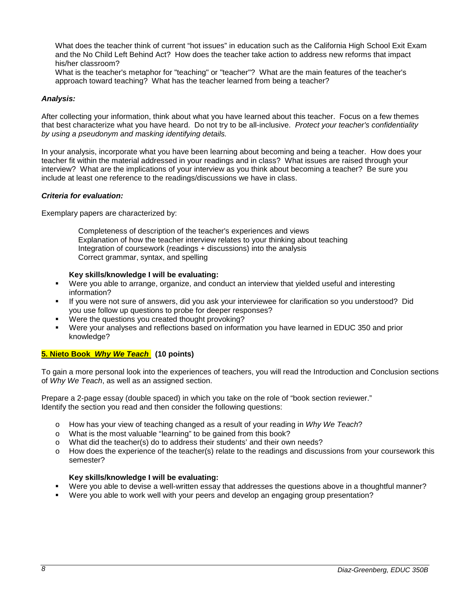What does the teacher think of current "hot issues" in education such as the California High School Exit Exam and the No Child Left Behind Act? How does the teacher take action to address new reforms that impact his/her classroom?

What is the teacher's metaphor for "teaching" or "teacher"? What are the main features of the teacher's approach toward teaching? What has the teacher learned from being a teacher?

### *Analysis:*

After collecting your information, think about what you have learned about this teacher. Focus on a few themes that best characterize what you have heard. Do not try to be all-inclusive. *Protect your teacher's confidentiality by using a pseudonym and masking identifying details.*

In your analysis, incorporate what you have been learning about becoming and being a teacher. How does your teacher fit within the material addressed in your readings and in class? What issues are raised through your interview? What are the implications of your interview as you think about becoming a teacher? Be sure you include at least one reference to the readings/discussions we have in class.

## *Criteria for evaluation:*

Exemplary papers are characterized by:

Completeness of description of the teacher's experiences and views Explanation of how the teacher interview relates to your thinking about teaching Integration of coursework (readings + discussions) into the analysis Correct grammar, syntax, and spelling

## **Key skills/knowledge I will be evaluating:**

- Were you able to arrange, organize, and conduct an interview that yielded useful and interesting information?
- If you were not sure of answers, did you ask your interviewee for clarification so you understood? Did you use follow up questions to probe for deeper responses?
- Were the questions you created thought provoking?
- Were your analyses and reflections based on information you have learned in EDUC 350 and prior knowledge?

## **5. Nieto Book** *Why We Teach* **(10 points)**

To gain a more personal look into the experiences of teachers, you will read the Introduction and Conclusion sections of *Why We Teach*, as well as an assigned section.

Prepare a 2-page essay (double spaced) in which you take on the role of "book section reviewer." Identify the section you read and then consider the following questions:

- o How has your view of teaching changed as a result of your reading in *Why We Teach*?
- o What is the most valuable "learning" to be gained from this book?
- o What did the teacher(s) do to address their students' and their own needs?
- o How does the experience of the teacher(s) relate to the readings and discussions from your coursework this semester?

### **Key skills/knowledge I will be evaluating:**

- Were you able to devise a well-written essay that addresses the questions above in a thoughtful manner?
- Were you able to work well with your peers and develop an engaging group presentation?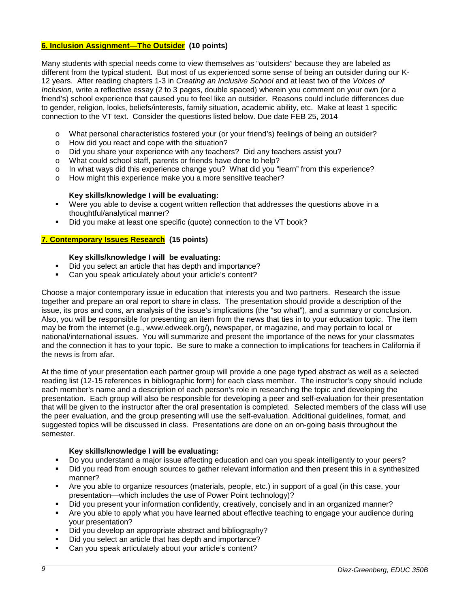## **6. Inclusion Assignment—The Outsider (10 points)**

Many students with special needs come to view themselves as "outsiders" because they are labeled as different from the typical student. But most of us experienced some sense of being an outsider during our K-12 years. After reading chapters 1-3 in *Creating an Inclusive School* and at least two of the *Voices of Inclusion*, write a reflective essay (2 to 3 pages, double spaced) wherein you comment on your own (or a friend's) school experience that caused you to feel like an outsider. Reasons could include differences due to gender, religion, looks, beliefs/interests, family situation, academic ability, etc. Make at least 1 specific connection to the VT text. Consider the questions listed below. Due date FEB 25, 2014

- o What personal characteristics fostered your (or your friend's) feelings of being an outsider?
- o How did you react and cope with the situation?
- o Did you share your experience with any teachers? Did any teachers assist you?
- o What could school staff, parents or friends have done to help?
- o In what ways did this experience change you? What did you "learn" from this experience?<br>  $\sim$  How might this experience make you a more sensitive teacher?
- How might this experience make you a more sensitive teacher?

### **Key skills/knowledge I will be evaluating:**

- Were you able to devise a cogent written reflection that addresses the questions above in a thoughtful/analytical manner?
- Did you make at least one specific (quote) connection to the VT book?

## **7. Contemporary Issues Research (15 points)**

## **Key skills/knowledge I will be evaluating:**

- Did you select an article that has depth and importance?
- Can you speak articulately about your article's content?

Choose a major contemporary issue in education that interests you and two partners. Research the issue together and prepare an oral report to share in class. The presentation should provide a description of the issue, its pros and cons, an analysis of the issue's implications (the "so what"), and a summary or conclusion. Also, you will be responsible for presenting an item from the news that ties in to your education topic. The item may be from the internet (e.g., www.edweek.org/), newspaper, or magazine, and may pertain to local or national/international issues. You will summarize and present the importance of the news for your classmates and the connection it has to your topic. Be sure to make a connection to implications for teachers in California if the news is from afar.

At the time of your presentation each partner group will provide a one page typed abstract as well as a selected reading list (12-15 references in bibliographic form) for each class member. The instructor's copy should include each member's name and a description of each person's role in researching the topic and developing the presentation. Each group will also be responsible for developing a peer and self-evaluation for their presentation that will be given to the instructor after the oral presentation is completed. Selected members of the class will use the peer evaluation, and the group presenting will use the self-evaluation. Additional guidelines, format, and suggested topics will be discussed in class. Presentations are done on an on-going basis throughout the semester.

### **Key skills/knowledge I will be evaluating:**

- Do you understand a major issue affecting education and can you speak intelligently to your peers?
- Did you read from enough sources to gather relevant information and then present this in a synthesized manner?
- Are you able to organize resources (materials, people, etc.) in support of a goal (in this case, your presentation—which includes the use of Power Point technology)?
- Did you present your information confidently, creatively, concisely and in an organized manner?
- Are you able to apply what you have learned about effective teaching to engage your audience during your presentation?
- Did you develop an appropriate abstract and bibliography?
- Did you select an article that has depth and importance?
- Can you speak articulately about your article's content?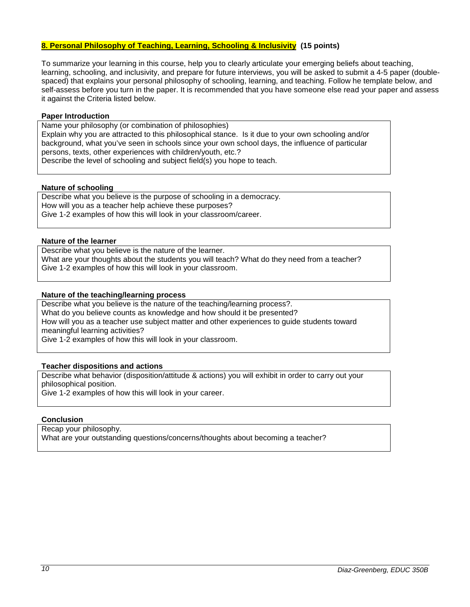## **8. Personal Philosophy of Teaching, Learning, Schooling & Inclusivity (15 points)**

To summarize your learning in this course, help you to clearly articulate your emerging beliefs about teaching, learning, schooling, and inclusivity, and prepare for future interviews, you will be asked to submit a 4-5 paper (doublespaced) that explains your personal philosophy of schooling, learning, and teaching. Follow he template below, and self-assess before you turn in the paper. It is recommended that you have someone else read your paper and assess it against the Criteria listed below.

### **Paper Introduction**

Name your philosophy (or combination of philosophies) Explain why you are attracted to this philosophical stance. Is it due to your own schooling and/or background, what you've seen in schools since your own school days, the influence of particular persons, texts, other experiences with children/youth, etc.? Describe the level of schooling and subject field(s) you hope to teach.

### **Nature of schooling**

Describe what you believe is the purpose of schooling in a democracy. How will you as a teacher help achieve these purposes? Give 1-2 examples of how this will look in your classroom/career.

### **Nature of the learner**

Describe what you believe is the nature of the learner. What are your thoughts about the students you will teach? What do they need from a teacher? Give 1-2 examples of how this will look in your classroom.

## **Nature of the teaching/learning process**

Describe what you believe is the nature of the teaching/learning process?. What do you believe counts as knowledge and how should it be presented? How will you as a teacher use subject matter and other experiences to guide students toward meaningful learning activities? Give 1-2 examples of how this will look in your classroom.

## **Teacher dispositions and actions**

Describe what behavior (disposition/attitude & actions) you will exhibit in order to carry out your philosophical position. Give 1-2 examples of how this will look in your career.

### **Conclusion**

Recap your philosophy. What are your outstanding questions/concerns/thoughts about becoming a teacher?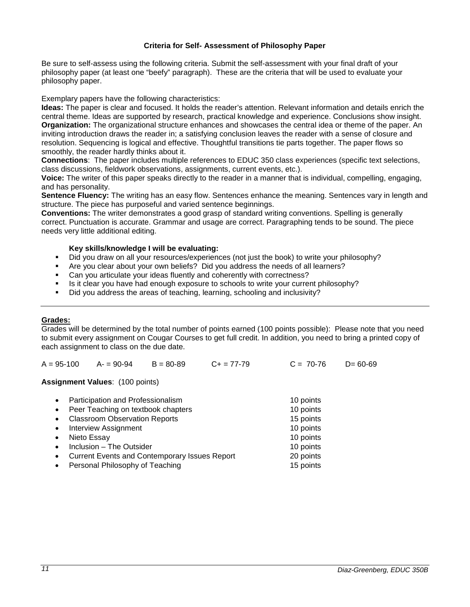### **Criteria for Self- Assessment of Philosophy Paper**

Be sure to self-assess using the following criteria. Submit the self-assessment with your final draft of your philosophy paper (at least one "beefy" paragraph). These are the criteria that will be used to evaluate your philosophy paper.

Exemplary papers have the following characteristics:

**Ideas:** The paper is clear and focused. It holds the reader's attention. Relevant information and details enrich the central theme. Ideas are supported by research, practical knowledge and experience. Conclusions show insight. **Organization:** The organizational structure enhances and showcases the central idea or theme of the paper. An inviting introduction draws the reader in; a satisfying conclusion leaves the reader with a sense of closure and resolution. Sequencing is logical and effective. Thoughtful transitions tie parts together. The paper flows so smoothly, the reader hardly thinks about it.

**Connections**: The paper includes multiple references to EDUC 350 class experiences (specific text selections, class discussions, fieldwork observations, assignments, current events, etc.).

**Voice:** The writer of this paper speaks directly to the reader in a manner that is individual, compelling, engaging, and has personality.

**Sentence Fluency:** The writing has an easy flow. Sentences enhance the meaning. Sentences vary in length and structure. The piece has purposeful and varied sentence beginnings.

**Conventions:** The writer demonstrates a good grasp of standard writing conventions. Spelling is generally correct. Punctuation is accurate. Grammar and usage are correct. Paragraphing tends to be sound. The piece needs very little additional editing.

## **Key skills/knowledge I will be evaluating:**

- Did you draw on all your resources/experiences (not just the book) to write your philosophy?
- Are you clear about your own beliefs? Did you address the needs of all learners?
- Can you articulate your ideas fluently and coherently with correctness?
- Is it clear you have had enough exposure to schools to write your current philosophy?
- Did you address the areas of teaching, learning, schooling and inclusivity?

## <span id="page-10-0"></span>**Grades:**

Grades will be determined by the total number of points earned (100 points possible): Please note that you need to submit every assignment on Cougar Courses to get full credit. In addition, you need to bring a printed copy of each assignment to class on the due date.

A = 95-100 A- = 90-94 B = 80-89 C+ = 77-79 C = 70-76 D= 60-69

**Assignment Values**: (100 points)

| $\bullet$ | Participation and Professionalism                    | 10 points |
|-----------|------------------------------------------------------|-----------|
| $\bullet$ | Peer Teaching on textbook chapters                   | 10 points |
| $\bullet$ | <b>Classroom Observation Reports</b>                 | 15 points |
| $\bullet$ | <b>Interview Assignment</b>                          | 10 points |
| $\bullet$ | Nieto Essay                                          | 10 points |
| $\bullet$ | Inclusion - The Outsider                             | 10 points |
| $\bullet$ | <b>Current Events and Contemporary Issues Report</b> | 20 points |
| $\bullet$ | Personal Philosophy of Teaching                      | 15 points |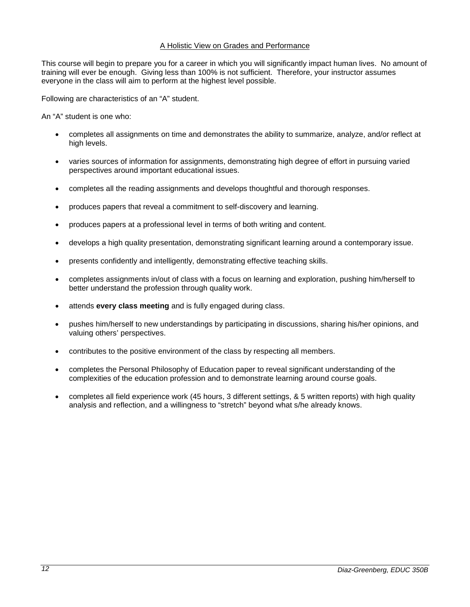## A Holistic View on Grades and Performance

This course will begin to prepare you for a career in which you will significantly impact human lives. No amount of training will ever be enough. Giving less than 100% is not sufficient. Therefore, your instructor assumes everyone in the class will aim to perform at the highest level possible.

Following are characteristics of an "A" student.

An "A" student is one who:

- completes all assignments on time and demonstrates the ability to summarize, analyze, and/or reflect at high levels.
- varies sources of information for assignments, demonstrating high degree of effort in pursuing varied perspectives around important educational issues.
- completes all the reading assignments and develops thoughtful and thorough responses.
- produces papers that reveal a commitment to self-discovery and learning.
- produces papers at a professional level in terms of both writing and content.
- develops a high quality presentation, demonstrating significant learning around a contemporary issue.
- presents confidently and intelligently, demonstrating effective teaching skills.
- completes assignments in/out of class with a focus on learning and exploration, pushing him/herself to better understand the profession through quality work.
- attends **every class meeting** and is fully engaged during class.
- pushes him/herself to new understandings by participating in discussions, sharing his/her opinions, and valuing others' perspectives.
- contributes to the positive environment of the class by respecting all members.
- completes the Personal Philosophy of Education paper to reveal significant understanding of the complexities of the education profession and to demonstrate learning around course goals.
- completes all field experience work (45 hours, 3 different settings, & 5 written reports) with high quality analysis and reflection, and a willingness to "stretch" beyond what s/he already knows.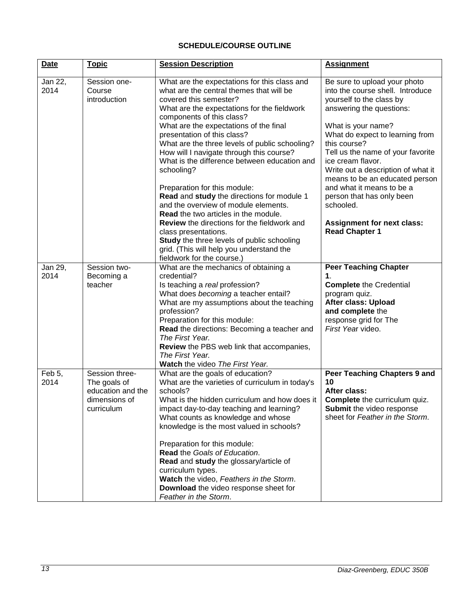## **SCHEDULE/COURSE OUTLINE**

<span id="page-12-0"></span>

| <b>Date</b>     | <b>Topic</b>                                                                       | <b>Session Description</b>                                                                                                                                                                                                                                                                                                                                                                                                                                                                                                                                                                                                                                                                                                                                                                                     | <b>Assignment</b>                                                                                                                                                                                                                                                                                                                                                                                                                                                        |
|-----------------|------------------------------------------------------------------------------------|----------------------------------------------------------------------------------------------------------------------------------------------------------------------------------------------------------------------------------------------------------------------------------------------------------------------------------------------------------------------------------------------------------------------------------------------------------------------------------------------------------------------------------------------------------------------------------------------------------------------------------------------------------------------------------------------------------------------------------------------------------------------------------------------------------------|--------------------------------------------------------------------------------------------------------------------------------------------------------------------------------------------------------------------------------------------------------------------------------------------------------------------------------------------------------------------------------------------------------------------------------------------------------------------------|
| Jan 22,<br>2014 | Session one-<br>Course<br>introduction                                             | What are the expectations for this class and<br>what are the central themes that will be<br>covered this semester?<br>What are the expectations for the fieldwork<br>components of this class?<br>What are the expectations of the final<br>presentation of this class?<br>What are the three levels of public schooling?<br>How will I navigate through this course?<br>What is the difference between education and<br>schooling?<br>Preparation for this module:<br>Read and study the directions for module 1<br>and the overview of module elements.<br><b>Read</b> the two articles in the module.<br><b>Review</b> the directions for the fieldwork and<br>class presentations.<br>Study the three levels of public schooling<br>grid. (This will help you understand the<br>fieldwork for the course.) | Be sure to upload your photo<br>into the course shell. Introduce<br>yourself to the class by<br>answering the questions:<br>What is your name?<br>What do expect to learning from<br>this course?<br>Tell us the name of your favorite<br>ice cream flavor.<br>Write out a description of what it<br>means to be an educated person<br>and what it means to be a<br>person that has only been<br>schooled.<br><b>Assignment for next class:</b><br><b>Read Chapter 1</b> |
| Jan 29,<br>2014 | Session two-<br>Becoming a<br>teacher                                              | What are the mechanics of obtaining a<br>credential?<br>Is teaching a real profession?<br>What does becoming a teacher entail?<br>What are my assumptions about the teaching<br>profession?<br>Preparation for this module:<br>Read the directions: Becoming a teacher and<br>The First Year.<br>Review the PBS web link that accompanies,<br>The First Year.<br>Watch the video The First Year.                                                                                                                                                                                                                                                                                                                                                                                                               | <b>Peer Teaching Chapter</b><br>1.<br><b>Complete the Credential</b><br>program quiz.<br>After class: Upload<br>and complete the<br>response grid for The<br>First Year video.                                                                                                                                                                                                                                                                                           |
| Feb 5,<br>2014  | Session three-<br>The goals of<br>education and the<br>dimensions of<br>curriculum | What are the goals of education?<br>What are the varieties of curriculum in today's<br>schools?<br>What is the hidden curriculum and how does it<br>impact day-to-day teaching and learning?<br>What counts as knowledge and whose<br>knowledge is the most valued in schools?<br>Preparation for this module:<br>Read the Goals of Education.<br>Read and study the glossary/article of<br>curriculum types.<br>Watch the video, Feathers in the Storm.<br>Download the video response sheet for<br>Feather in the Storm.                                                                                                                                                                                                                                                                                     | Peer Teaching Chapters 9 and<br>10<br>After class:<br><b>Complete</b> the curriculum quiz.<br>Submit the video response<br>sheet for Feather in the Storm.                                                                                                                                                                                                                                                                                                               |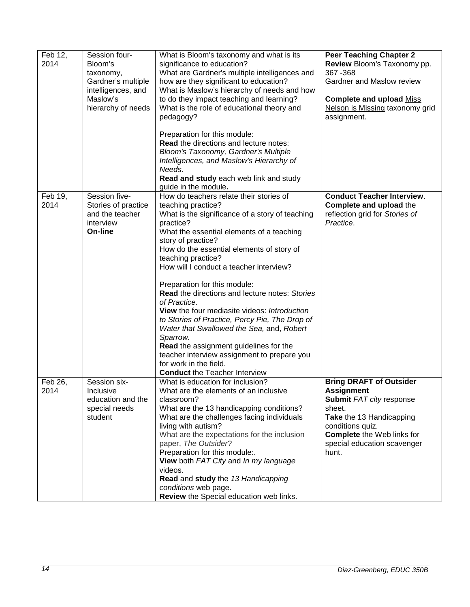| Feb 12,<br>2014 | Session four-<br>Bloom's<br>taxonomy,<br>Gardner's multiple<br>intelligences, and<br>Maslow's<br>hierarchy of needs | What is Bloom's taxonomy and what is its<br>significance to education?<br>What are Gardner's multiple intelligences and<br>how are they significant to education?<br>What is Maslow's hierarchy of needs and how<br>to do they impact teaching and learning?<br>What is the role of educational theory and<br>pedagogy?<br>Preparation for this module:<br>Read the directions and lecture notes:<br>Bloom's Taxonomy, Gardner's Multiple<br>Intelligences, and Maslow's Hierarchy of<br>Needs.<br>Read and study each web link and study                                                                                                                                                                                                                             | <b>Peer Teaching Chapter 2</b><br>Review Bloom's Taxonomy pp.<br>367 - 368<br>Gardner and Maslow review<br><b>Complete and upload Miss</b><br>Nelson is Missing taxonomy grid<br>assignment.                           |
|-----------------|---------------------------------------------------------------------------------------------------------------------|-----------------------------------------------------------------------------------------------------------------------------------------------------------------------------------------------------------------------------------------------------------------------------------------------------------------------------------------------------------------------------------------------------------------------------------------------------------------------------------------------------------------------------------------------------------------------------------------------------------------------------------------------------------------------------------------------------------------------------------------------------------------------|------------------------------------------------------------------------------------------------------------------------------------------------------------------------------------------------------------------------|
| Feb 19,<br>2014 | Session five-<br>Stories of practice<br>and the teacher<br>interview<br>On-line                                     | guide in the module.<br>How do teachers relate their stories of<br>teaching practice?<br>What is the significance of a story of teaching<br>practice?<br>What the essential elements of a teaching<br>story of practice?<br>How do the essential elements of story of<br>teaching practice?<br>How will I conduct a teacher interview?<br>Preparation for this module:<br><b>Read the directions and lecture notes: Stories</b><br>of Practice.<br>View the four mediasite videos: Introduction<br>to Stories of Practice, Percy Pie, The Drop of<br>Water that Swallowed the Sea, and, Robert<br>Sparrow.<br>Read the assignment guidelines for the<br>teacher interview assignment to prepare you<br>for work in the field.<br><b>Conduct the Teacher Interview</b> | <b>Conduct Teacher Interview.</b><br>Complete and upload the<br>reflection grid for Stories of<br>Practice.                                                                                                            |
| Feb 26,<br>2014 | Session six-<br>Inclusive<br>education and the<br>special needs<br>student                                          | What is education for inclusion?<br>What are the elements of an inclusive<br>classroom?<br>What are the 13 handicapping conditions?<br>What are the challenges facing individuals<br>living with autism?<br>What are the expectations for the inclusion<br>paper, The Outsider?<br>Preparation for this module:.<br>View both FAT City and In my language<br>videos.<br>Read and study the 13 Handicapping<br>conditions web page.<br>Review the Special education web links.                                                                                                                                                                                                                                                                                         | <b>Bring DRAFT of Outsider</b><br><b>Assignment</b><br>Submit FAT city response<br>sheet.<br>Take the 13 Handicapping<br>conditions quiz.<br><b>Complete</b> the Web links for<br>special education scavenger<br>hunt. |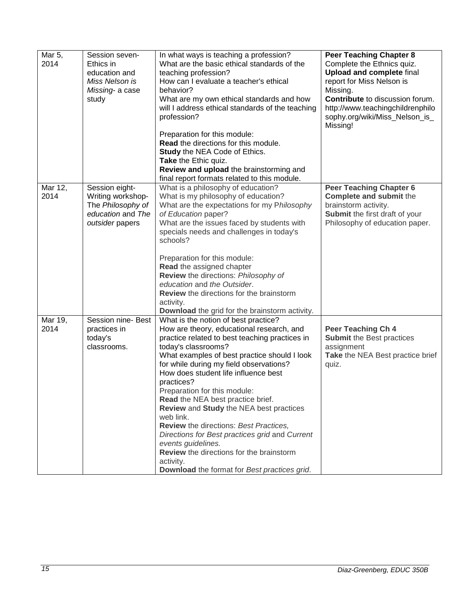| Mar 5,<br>2014  | Session seven-<br>Ethics in<br>education and<br>Miss Nelson is<br>Missing- a case<br>study       | In what ways is teaching a profession?<br>What are the basic ethical standards of the<br>teaching profession?<br>How can I evaluate a teacher's ethical<br>hehavior?<br>What are my own ethical standards and how<br>will I address ethical standards of the teaching<br>profession?                                                                                                                                                                                                                                                                                                                                                                                       | <b>Peer Teaching Chapter 8</b><br>Complete the Ethnics quiz.<br><b>Upload and complete final</b><br>report for Miss Nelson is<br>Missing.<br>Contribute to discussion forum.<br>http://www.teachingchildrenphilo<br>sophy.org/wiki/Miss_Nelson_is_<br>Missing! |
|-----------------|--------------------------------------------------------------------------------------------------|----------------------------------------------------------------------------------------------------------------------------------------------------------------------------------------------------------------------------------------------------------------------------------------------------------------------------------------------------------------------------------------------------------------------------------------------------------------------------------------------------------------------------------------------------------------------------------------------------------------------------------------------------------------------------|----------------------------------------------------------------------------------------------------------------------------------------------------------------------------------------------------------------------------------------------------------------|
|                 |                                                                                                  | Preparation for this module:<br>Read the directions for this module.<br><b>Study the NEA Code of Ethics.</b><br>Take the Ethic quiz.<br>Review and upload the brainstorming and<br>final report formats related to this module.                                                                                                                                                                                                                                                                                                                                                                                                                                            |                                                                                                                                                                                                                                                                |
| Mar 12,<br>2014 | Session eight-<br>Writing workshop-<br>The Philosophy of<br>education and The<br>outsider papers | What is a philosophy of education?<br>What is my philosophy of education?<br>What are the expectations for my Philosophy<br>of Education paper?<br>What are the issues faced by students with<br>specials needs and challenges in today's<br>schools?<br>Preparation for this module:<br>Read the assigned chapter<br>Review the directions: Philosophy of<br>education and the Outsider.<br>Review the directions for the brainstorm<br>activity.<br>Download the grid for the brainstorm activity.                                                                                                                                                                       | <b>Peer Teaching Chapter 6</b><br>Complete and submit the<br>brainstorm activity.<br>Submit the first draft of your<br>Philosophy of education paper.                                                                                                          |
| Mar 19,<br>2014 | Session nine- Best<br>practices in<br>today's<br>classrooms.                                     | What is the notion of best practice?<br>How are theory, educational research, and<br>practice related to best teaching practices in<br>today's classrooms?<br>What examples of best practice should I look<br>for while during my field observations?<br>How does student life influence best<br>practices?<br>Preparation for this module:<br>Read the NEA best practice brief.<br>Review and Study the NEA best practices<br>web link.<br><b>Review</b> the directions: Best Practices,<br>Directions for Best practices grid and Current<br>events guidelines.<br>Review the directions for the brainstorm<br>activity.<br>Download the format for Best practices grid. | Peer Teaching Ch 4<br><b>Submit the Best practices</b><br>assignment<br>Take the NEA Best practice brief<br>quiz.                                                                                                                                              |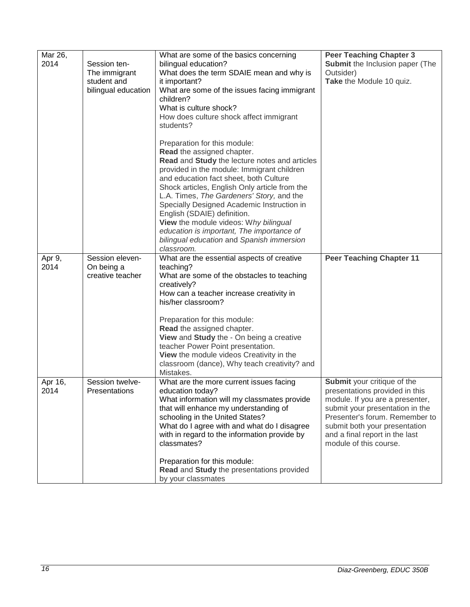| Mar 26,<br>2014 | Session ten-<br>The immigrant<br>student and<br>bilingual education | What are some of the basics concerning<br>bilingual education?<br>What does the term SDAIE mean and why is<br>it important?<br>What are some of the issues facing immigrant<br>children?<br>What is culture shock?<br>How does culture shock affect immigrant<br>students?                                                                                                                                                                                                                                                      | <b>Peer Teaching Chapter 3</b><br>Submit the Inclusion paper (The<br>Outsider)<br>Take the Module 10 quiz.                                                                                                                                                                |
|-----------------|---------------------------------------------------------------------|---------------------------------------------------------------------------------------------------------------------------------------------------------------------------------------------------------------------------------------------------------------------------------------------------------------------------------------------------------------------------------------------------------------------------------------------------------------------------------------------------------------------------------|---------------------------------------------------------------------------------------------------------------------------------------------------------------------------------------------------------------------------------------------------------------------------|
|                 |                                                                     | Preparation for this module:<br>Read the assigned chapter.<br>Read and Study the lecture notes and articles<br>provided in the module: Immigrant children<br>and education fact sheet, both Culture<br>Shock articles, English Only article from the<br>L.A. Times, The Gardeners' Story, and the<br>Specially Designed Academic Instruction in<br>English (SDAIE) definition.<br>View the module videos: Why bilingual<br>education is important, The importance of<br>bilingual education and Spanish immersion<br>classroom. |                                                                                                                                                                                                                                                                           |
| Apr 9,<br>2014  | Session eleven-<br>On being a<br>creative teacher                   | What are the essential aspects of creative<br>teaching?<br>What are some of the obstacles to teaching<br>creatively?<br>How can a teacher increase creativity in<br>his/her classroom?<br>Preparation for this module:<br>Read the assigned chapter.<br>View and Study the - On being a creative<br>teacher Power Point presentation.<br>View the module videos Creativity in the<br>classroom (dance), Why teach creativity? and<br>Mistakes.                                                                                  | <b>Peer Teaching Chapter 11</b>                                                                                                                                                                                                                                           |
| Apr 16,<br>2014 | Session twelve-<br>Presentations                                    | What are the more current issues facing<br>education today?<br>What information will my classmates provide<br>that will enhance my understanding of<br>schooling in the United States?<br>What do I agree with and what do I disagree<br>with in regard to the information provide by<br>classmates?<br>Preparation for this module:<br>Read and Study the presentations provided<br>by your classmates                                                                                                                         | <b>Submit</b> your critique of the<br>presentations provided in this<br>module. If you are a presenter,<br>submit your presentation in the<br>Presenter's forum. Remember to<br>submit both your presentation<br>and a final report in the last<br>module of this course. |